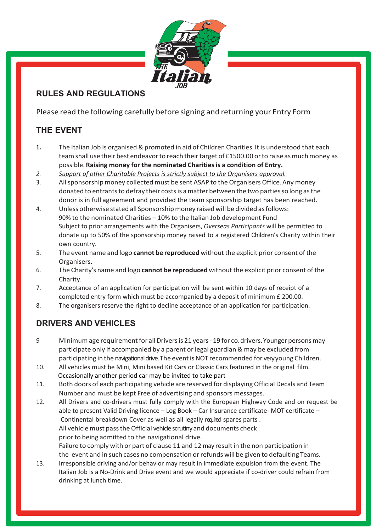

### **RULES AND REGULATIONS**

Please read the following carefully before signing and returning your Entry Form

# **THE EVENT**

- **1.** The Italian Job is organised & promoted in aid of Children Charities.It is understood that each team shall use their best endeavor to reach their target of £1500.00 or to raise as much money as possible.**Raising money for the nominated Charities is a condition of Entry.**
- *2. Support of other Charitable Projects is strictly subject to the Organisers approval.*
- 3. Allsponsorship money collected must be sent ASAP to the Organisers Office.Any money donated to entrants to defray their costs is a matter between the two parties so long as the donor is in full agreement and provided the team sponsorship target has been reached.
- 4. Unless otherwise stated all Sponsorshipmoney raised will be divided asfollows: 90% to the nominated Charities – 10% to the Italian Job development Fund Subject to prior arrangements with the Organisers, *Overseas Participants* will be permitted to donate up to 50% of the sponsorship money raised to a registered Children's Charity within their own country.
- 5. The event name and logo **cannot be reproduced** without the explicit prior consent ofthe Organisers.
- 6. The Charity's name and logo **cannot be reproduced** without the explicit prior consent ofthe Charity.
- 7. Acceptance of an application for participation will be sent within 10 days of receipt of a completed entry form which must be accompanied by a deposit of minimum £ 200.00.
- 8. The organisers reserve the right to decline acceptance of an application for participation.

## **DRIVERS AND VEHICLES**

- 9 Minimumage requirementfor allDriversis 21 years- 19 for co.drivers.Younger personsmay participate only if accompanied by a parent or legal guardian & may be excluded from participating in the navigational drive. The event is NOT recommended for very young Children.
- 10. All vehicles must be Mini, Mini based Kit Cars or Classic Cars featured in the original film. Occasionally another period car may be invited to take part
- 11. Both doors of each participating vehicle are reserved for displaying Official Decals and Team Number and must be kept Free of advertising and sponsors messages.
- 12. All Drivers and co-drivers must fully comply with the European Highway Code and on request be able to present Valid Driving licence – Log Book – Car Insurance certificate- MOT certificate – Continental breakdown Cover as well as all legally required spares parts. All vehicle must passthe Official vehicle scrutinyand documents check prior to being admitted to the navigational drive. Failure to comply with or part of clause 11 and 12 may result in the non participation in the event and in such cases no compensation orrefunds will be given to defaulting Teams. 13. Irresponsible driving and/or behavior may result in immediate expulsion from the event. The
- Italian Job is a No-Drink and Drive event and we would appreciate if co-driver could refrain from drinking at lunch time.